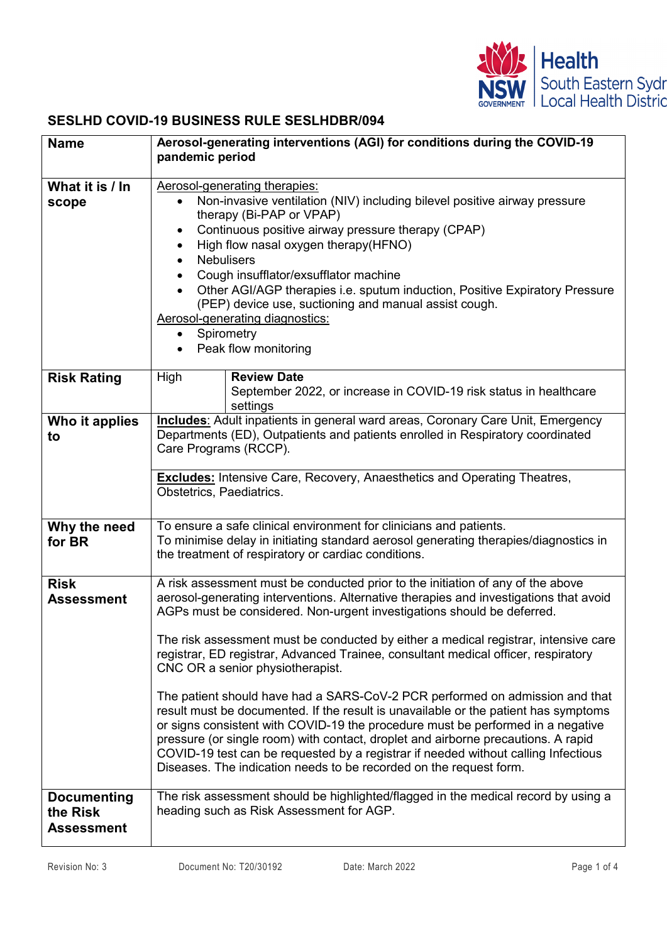

## **SESLHD COVID-19 BUSINESS RULE SESLHDBR/094**

| <b>Name</b>                                         | Aerosol-generating interventions (AGI) for conditions during the COVID-19<br>pandemic period                                                                                                                                                                                                                                                                                                                                                                                                                                                                                                                                                                                                                                                                                                                       |                                                                                                     |  |
|-----------------------------------------------------|--------------------------------------------------------------------------------------------------------------------------------------------------------------------------------------------------------------------------------------------------------------------------------------------------------------------------------------------------------------------------------------------------------------------------------------------------------------------------------------------------------------------------------------------------------------------------------------------------------------------------------------------------------------------------------------------------------------------------------------------------------------------------------------------------------------------|-----------------------------------------------------------------------------------------------------|--|
| What it is / In<br>scope                            | Aerosol-generating therapies:<br>Non-invasive ventilation (NIV) including bilevel positive airway pressure<br>$\bullet$<br>therapy (Bi-PAP or VPAP)<br>Continuous positive airway pressure therapy (CPAP)<br>$\bullet$<br>High flow nasal oxygen therapy(HFNO)<br><b>Nebulisers</b><br>Cough insufflator/exsufflator machine<br>Other AGI/AGP therapies i.e. sputum induction, Positive Expiratory Pressure<br>(PEP) device use, suctioning and manual assist cough.<br>Aerosol-generating diagnostics:<br>Spirometry<br>Peak flow monitoring                                                                                                                                                                                                                                                                      |                                                                                                     |  |
| <b>Risk Rating</b>                                  | High                                                                                                                                                                                                                                                                                                                                                                                                                                                                                                                                                                                                                                                                                                                                                                                                               | <b>Review Date</b><br>September 2022, or increase in COVID-19 risk status in healthcare<br>settings |  |
| Who it applies<br>to                                | <b>Includes:</b> Adult inpatients in general ward areas, Coronary Care Unit, Emergency<br>Departments (ED), Outpatients and patients enrolled in Respiratory coordinated<br>Care Programs (RCCP).<br><b>Excludes:</b> Intensive Care, Recovery, Anaesthetics and Operating Theatres,<br>Obstetrics, Paediatrics.                                                                                                                                                                                                                                                                                                                                                                                                                                                                                                   |                                                                                                     |  |
| Why the need<br>for BR                              | To ensure a safe clinical environment for clinicians and patients.<br>To minimise delay in initiating standard aerosol generating therapies/diagnostics in<br>the treatment of respiratory or cardiac conditions.                                                                                                                                                                                                                                                                                                                                                                                                                                                                                                                                                                                                  |                                                                                                     |  |
| <b>Risk</b><br><b>Assessment</b>                    | A risk assessment must be conducted prior to the initiation of any of the above<br>aerosol-generating interventions. Alternative therapies and investigations that avoid<br>AGPs must be considered. Non-urgent investigations should be deferred.<br>The risk assessment must be conducted by either a medical registrar, intensive care<br>registrar, ED registrar, Advanced Trainee, consultant medical officer, respiratory<br>CNC OR a senior physiotherapist.<br>The patient should have had a SARS-CoV-2 PCR performed on admission and that<br>result must be documented. If the result is unavailable or the patient has symptoms<br>or signs consistent with COVID-19 the procedure must be performed in a negative<br>pressure (or single room) with contact, droplet and airborne precautions. A rapid |                                                                                                     |  |
| <b>Documenting</b><br>the Risk<br><b>Assessment</b> | COVID-19 test can be requested by a registrar if needed without calling Infectious<br>Diseases. The indication needs to be recorded on the request form.<br>The risk assessment should be highlighted/flagged in the medical record by using a<br>heading such as Risk Assessment for AGP.                                                                                                                                                                                                                                                                                                                                                                                                                                                                                                                         |                                                                                                     |  |
|                                                     |                                                                                                                                                                                                                                                                                                                                                                                                                                                                                                                                                                                                                                                                                                                                                                                                                    |                                                                                                     |  |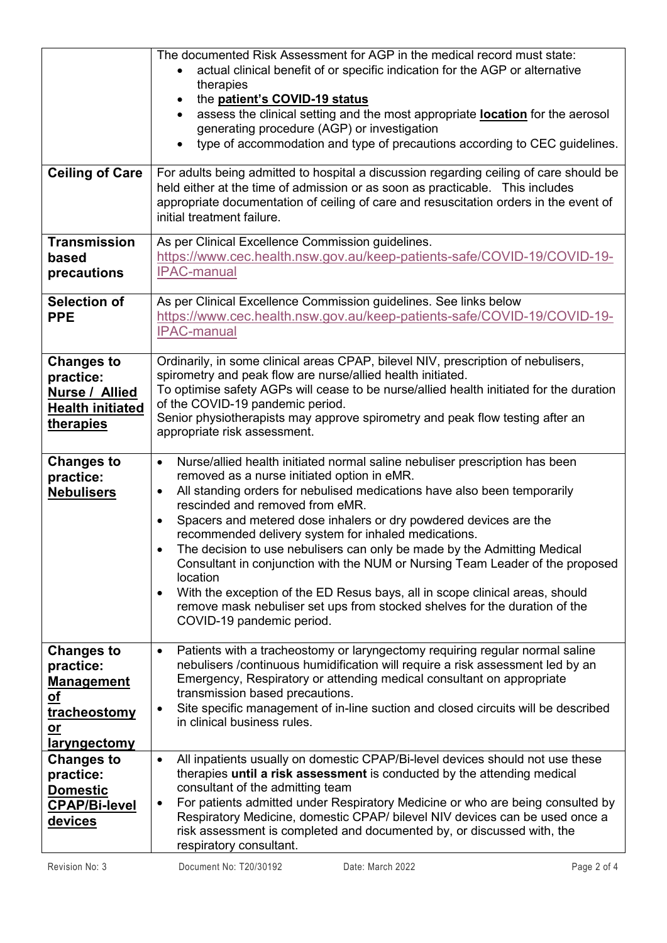| <b>Ceiling of Care</b><br><b>Transmission</b>                                                                  | The documented Risk Assessment for AGP in the medical record must state:<br>actual clinical benefit of or specific indication for the AGP or alternative<br>therapies<br>the patient's COVID-19 status<br>$\bullet$<br>assess the clinical setting and the most appropriate <b>location</b> for the aerosol<br>generating procedure (AGP) or investigation<br>type of accommodation and type of precautions according to CEC guidelines.<br>$\bullet$<br>For adults being admitted to hospital a discussion regarding ceiling of care should be<br>held either at the time of admission or as soon as practicable. This includes<br>appropriate documentation of ceiling of care and resuscitation orders in the event of<br>initial treatment failure.<br>As per Clinical Excellence Commission guidelines. |  |  |  |
|----------------------------------------------------------------------------------------------------------------|--------------------------------------------------------------------------------------------------------------------------------------------------------------------------------------------------------------------------------------------------------------------------------------------------------------------------------------------------------------------------------------------------------------------------------------------------------------------------------------------------------------------------------------------------------------------------------------------------------------------------------------------------------------------------------------------------------------------------------------------------------------------------------------------------------------|--|--|--|
| based<br>precautions                                                                                           | https://www.cec.health.nsw.gov.au/keep-patients-safe/COVID-19/COVID-19-<br><b>IPAC-manual</b>                                                                                                                                                                                                                                                                                                                                                                                                                                                                                                                                                                                                                                                                                                                |  |  |  |
| <b>Selection of</b><br><b>PPE</b>                                                                              | As per Clinical Excellence Commission guidelines. See links below<br>https://www.cec.health.nsw.gov.au/keep-patients-safe/COVID-19/COVID-19-<br><b>IPAC-manual</b>                                                                                                                                                                                                                                                                                                                                                                                                                                                                                                                                                                                                                                           |  |  |  |
| <b>Changes to</b><br>practice:<br>Nurse / Allied<br><b>Health initiated</b><br>therapies                       | Ordinarily, in some clinical areas CPAP, bilevel NIV, prescription of nebulisers,<br>spirometry and peak flow are nurse/allied health initiated.<br>To optimise safety AGPs will cease to be nurse/allied health initiated for the duration<br>of the COVID-19 pandemic period.<br>Senior physiotherapists may approve spirometry and peak flow testing after an<br>appropriate risk assessment.                                                                                                                                                                                                                                                                                                                                                                                                             |  |  |  |
| <b>Changes to</b><br>practice:<br><b>Nebulisers</b>                                                            | Nurse/allied health initiated normal saline nebuliser prescription has been<br>$\bullet$<br>removed as a nurse initiated option in eMR.<br>All standing orders for nebulised medications have also been temporarily<br>$\bullet$<br>rescinded and removed from eMR.<br>Spacers and metered dose inhalers or dry powdered devices are the<br>recommended delivery system for inhaled medications.<br>The decision to use nebulisers can only be made by the Admitting Medical<br>Consultant in conjunction with the NUM or Nursing Team Leader of the proposed<br>location<br>With the exception of the ED Resus bays, all in scope clinical areas, should<br>$\bullet$<br>remove mask nebuliser set ups from stocked shelves for the duration of the<br>COVID-19 pandemic period.                            |  |  |  |
| <b>Changes to</b><br>practice:<br><b>Management</b><br><u>of</u><br>tracheostomy<br>$o$<br><u>laryngectomy</u> | Patients with a tracheostomy or laryngectomy requiring regular normal saline<br>$\bullet$<br>nebulisers /continuous humidification will require a risk assessment led by an<br>Emergency, Respiratory or attending medical consultant on appropriate<br>transmission based precautions.<br>Site specific management of in-line suction and closed circuits will be described<br>٠<br>in clinical business rules.                                                                                                                                                                                                                                                                                                                                                                                             |  |  |  |
| Changes to<br>practice:<br><u>Domestic</u><br><b>CPAP/Bi-level</b><br>devices                                  | All inpatients usually on domestic CPAP/Bi-level devices should not use these<br>$\bullet$<br>therapies until a risk assessment is conducted by the attending medical<br>consultant of the admitting team<br>For patients admitted under Respiratory Medicine or who are being consulted by<br>٠<br>Respiratory Medicine, domestic CPAP/ bilevel NIV devices can be used once a<br>risk assessment is completed and documented by, or discussed with, the<br>respiratory consultant.                                                                                                                                                                                                                                                                                                                         |  |  |  |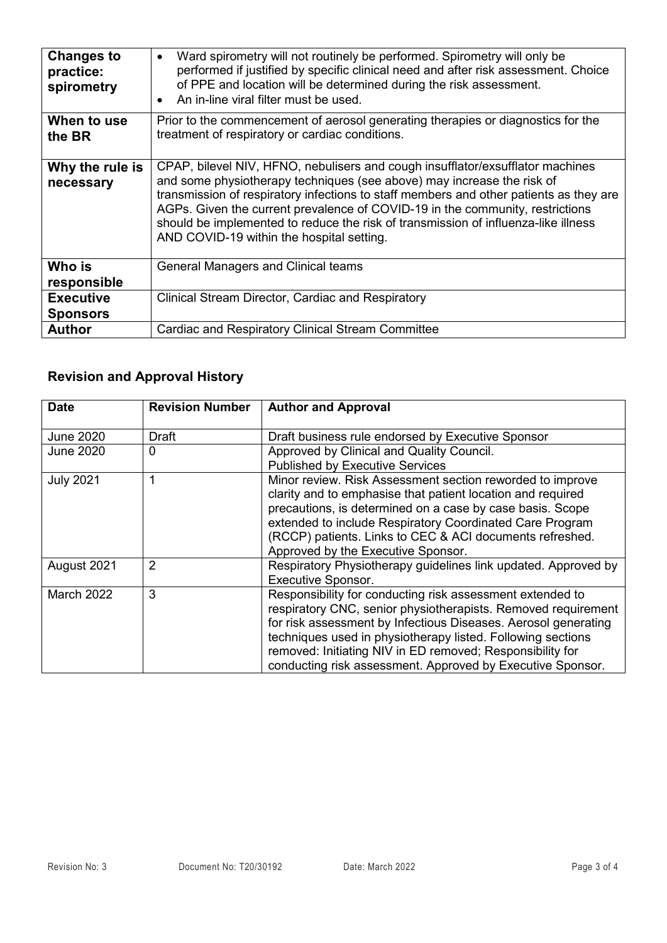| <b>Changes to</b><br>practice:<br>spirometry | Ward spirometry will not routinely be performed. Spirometry will only be<br>$\bullet$<br>performed if justified by specific clinical need and after risk assessment. Choice<br>of PPE and location will be determined during the risk assessment.<br>An in-line viral filter must be used.                                                                                                                                                                             |  |  |
|----------------------------------------------|------------------------------------------------------------------------------------------------------------------------------------------------------------------------------------------------------------------------------------------------------------------------------------------------------------------------------------------------------------------------------------------------------------------------------------------------------------------------|--|--|
| When to use<br>the BR                        | Prior to the commencement of aerosol generating therapies or diagnostics for the<br>treatment of respiratory or cardiac conditions.                                                                                                                                                                                                                                                                                                                                    |  |  |
| Why the rule is<br>necessary                 | CPAP, bilevel NIV, HFNO, nebulisers and cough insufflator/exsufflator machines<br>and some physiotherapy techniques (see above) may increase the risk of<br>transmission of respiratory infections to staff members and other patients as they are<br>AGPs. Given the current prevalence of COVID-19 in the community, restrictions<br>should be implemented to reduce the risk of transmission of influenza-like illness<br>AND COVID-19 within the hospital setting. |  |  |
| Who is<br>responsible                        | <b>General Managers and Clinical teams</b>                                                                                                                                                                                                                                                                                                                                                                                                                             |  |  |
| <b>Executive</b><br><b>Sponsors</b>          | Clinical Stream Director, Cardiac and Respiratory                                                                                                                                                                                                                                                                                                                                                                                                                      |  |  |
| <b>Author</b>                                | <b>Cardiac and Respiratory Clinical Stream Committee</b>                                                                                                                                                                                                                                                                                                                                                                                                               |  |  |

## **Revision and Approval History**

| <b>Date</b>       | <b>Revision Number</b> | <b>Author and Approval</b>                                                                                                                                                                                                                                                                                                                                                             |  |
|-------------------|------------------------|----------------------------------------------------------------------------------------------------------------------------------------------------------------------------------------------------------------------------------------------------------------------------------------------------------------------------------------------------------------------------------------|--|
| <b>June 2020</b>  | Draft                  | Draft business rule endorsed by Executive Sponsor                                                                                                                                                                                                                                                                                                                                      |  |
| <b>June 2020</b>  | 0                      | Approved by Clinical and Quality Council.<br><b>Published by Executive Services</b>                                                                                                                                                                                                                                                                                                    |  |
| <b>July 2021</b>  | 1                      | Minor review. Risk Assessment section reworded to improve<br>clarity and to emphasise that patient location and required<br>precautions, is determined on a case by case basis. Scope<br>extended to include Respiratory Coordinated Care Program<br>(RCCP) patients. Links to CEC & ACI documents refreshed.<br>Approved by the Executive Sponsor.                                    |  |
| August 2021       | 2                      | Respiratory Physiotherapy guidelines link updated. Approved by<br><b>Executive Sponsor.</b>                                                                                                                                                                                                                                                                                            |  |
| <b>March 2022</b> | 3                      | Responsibility for conducting risk assessment extended to<br>respiratory CNC, senior physiotherapists. Removed requirement<br>for risk assessment by Infectious Diseases. Aerosol generating<br>techniques used in physiotherapy listed. Following sections<br>removed: Initiating NIV in ED removed; Responsibility for<br>conducting risk assessment. Approved by Executive Sponsor. |  |